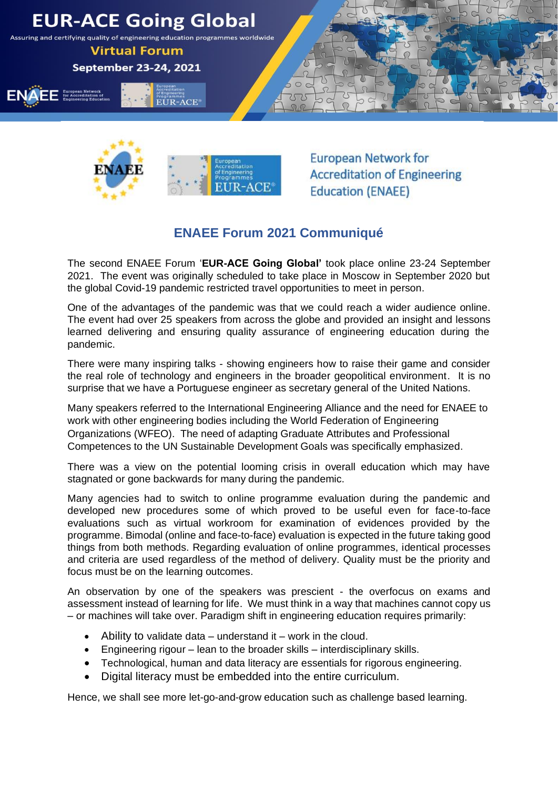



**European Network for Accreditation of Engineering Education (ENAEE)** 

## **ENAEE Forum 2021 Communiqué**

The second ENAEE Forum '**EUR-ACE Going Global'** took place online 23-24 September 2021. The event was originally scheduled to take place in Moscow in September 2020 but the global Covid-19 pandemic restricted travel opportunities to meet in person.

One of the advantages of the pandemic was that we could reach a wider audience online. The event had over 25 speakers from across the globe and provided an insight and lessons learned delivering and ensuring quality assurance of engineering education during the pandemic.

There were many inspiring talks - showing engineers how to raise their game and consider the real role of technology and engineers in the broader geopolitical environment. It is no surprise that we have a Portuguese engineer as secretary general of the United Nations.

Many speakers referred to the International Engineering Alliance and the need for ENAEE to work with other engineering bodies including the World Federation of Engineering Organizations (WFEO). The need of adapting Graduate Attributes and Professional Competences to the UN Sustainable Development Goals was specifically emphasized.

There was a view on the potential looming crisis in overall education which may have stagnated or gone backwards for many during the pandemic.

Many agencies had to switch to online programme evaluation during the pandemic and developed new procedures some of which proved to be useful even for face-to-face evaluations such as virtual workroom for examination of evidences provided by the programme. Bimodal (online and face-to-face) evaluation is expected in the future taking good things from both methods. Regarding evaluation of online programmes, identical processes and criteria are used regardless of the method of delivery. Quality must be the priority and focus must be on the learning outcomes.

An observation by one of the speakers was prescient - the overfocus on exams and assessment instead of learning for life. We must think in a way that machines cannot copy us – or machines will take over. Paradigm shift in engineering education requires primarily:

- Ability to validate data understand it work in the cloud.
- Engineering rigour lean to the broader skills interdisciplinary skills.
- Technological, human and data literacy are essentials for rigorous engineering.
- Digital literacy must be embedded into the entire curriculum.

Hence, we shall see more let-go-and-grow education such as challenge based learning.